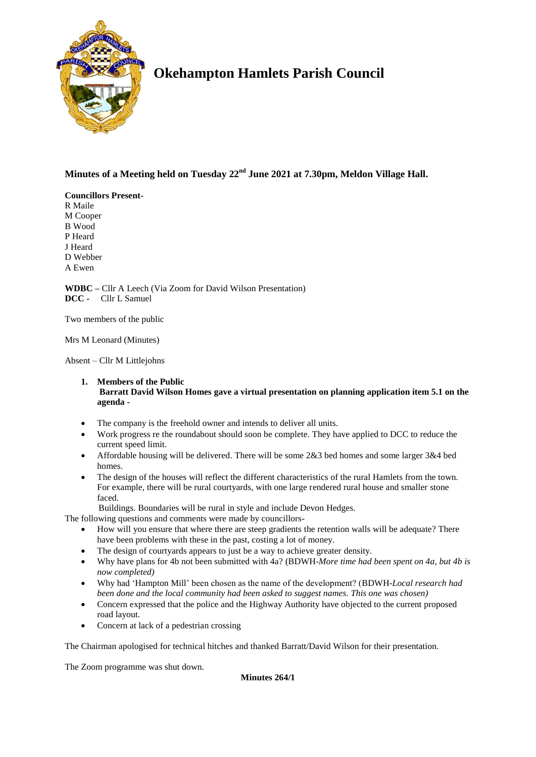

# **Okehampton Hamlets Parish Council**

# **Minutes of a Meeting held on Tuesday 22nd June 2021 at 7.30pm, Meldon Village Hall.**

## **Councillors Present-**

R Maile M Cooper B Wood P Heard J Heard D Webber A Ewen

**WDBC –** Cllr A Leech (Via Zoom for David Wilson Presentation) **DCC -** Cllr L Samuel

Two members of the public

Mrs M Leonard (Minutes)

Absent – Cllr M Littlejohns

# **1. Members of the Public**

# **Barratt David Wilson Homes gave a virtual presentation on planning application item 5.1 on the agenda -**

- The company is the freehold owner and intends to deliver all units.
- Work progress re the roundabout should soon be complete. They have applied to DCC to reduce the current speed limit.
- Affordable housing will be delivered. There will be some 2&3 bed homes and some larger 3&4 bed homes.
- The design of the houses will reflect the different characteristics of the rural Hamlets from the town. For example, there will be rural courtyards, with one large rendered rural house and smaller stone faced.

Buildings. Boundaries will be rural in style and include Devon Hedges.

The following questions and comments were made by councillors-

- How will you ensure that where there are steep gradients the retention walls will be adequate? There have been problems with these in the past, costing a lot of money.
- The design of courtyards appears to just be a way to achieve greater density.
- Why have plans for 4b not been submitted with 4a? (BDWH-*More time had been spent on 4a, but 4b is now completed)*
- Why had 'Hampton Mill' been chosen as the name of the development? (BDWH-*Local research had been done and the local community had been asked to suggest names. This one was chosen)*
- Concern expressed that the police and the Highway Authority have objected to the current proposed road layout.
- Concern at lack of a pedestrian crossing

The Chairman apologised for technical hitches and thanked Barratt/David Wilson for their presentation.

The Zoom programme was shut down.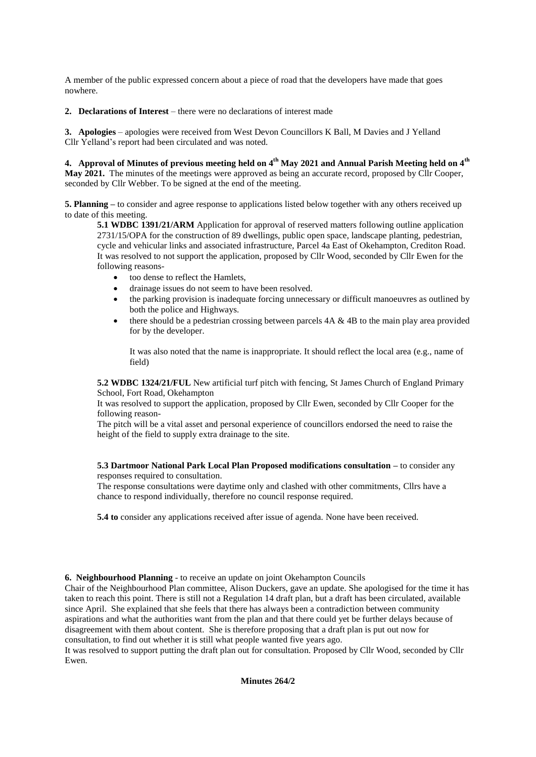A member of the public expressed concern about a piece of road that the developers have made that goes nowhere.

**2. Declarations of Interest** – there were no declarations of interest made

**3. Apologies** – apologies were received from West Devon Councillors K Ball, M Davies and J Yelland Cllr Yelland's report had been circulated and was noted.

**4. Approval of Minutes of previous meeting held on 4 th May 2021 and Annual Parish Meeting held on 4th May 2021.** The minutes of the meetings were approved as being an accurate record, proposed by Cllr Cooper, seconded by Cllr Webber. To be signed at the end of the meeting.

**5. Planning –** to consider and agree response to applications listed below together with any others received up to date of this meeting.

**5.1 WDBC 1391/21/ARM** Application for approval of reserved matters following outline application 2731/15/OPA for the construction of 89 dwellings, public open space, landscape planting, pedestrian, cycle and vehicular links and associated infrastructure, Parcel 4a East of Okehampton, Crediton Road. It was resolved to not support the application, proposed by Cllr Wood, seconded by Cllr Ewen for the following reasons-

- too dense to reflect the Hamlets,
- drainage issues do not seem to have been resolved.
- the parking provision is inadequate forcing unnecessary or difficult manoeuvres as outlined by both the police and Highways.
- there should be a pedestrian crossing between parcels  $4A \& 4B$  to the main play area provided for by the developer.

It was also noted that the name is inappropriate. It should reflect the local area (e.g., name of field)

**5.2 WDBC 1324/21/FUL** New artificial turf pitch with fencing, St James Church of England Primary School, Fort Road, Okehampton

It was resolved to support the application, proposed by Cllr Ewen, seconded by Cllr Cooper for the following reason-

The pitch will be a vital asset and personal experience of councillors endorsed the need to raise the height of the field to supply extra drainage to the site.

## **5.3 Dartmoor National Park Local Plan Proposed modifications consultation –** to consider any responses required to consultation.

The response consultations were daytime only and clashed with other commitments, Cllrs have a chance to respond individually, therefore no council response required.

**5.4 to** consider any applications received after issue of agenda. None have been received.

**6. Neighbourhood Planning** - to receive an update on joint Okehampton Councils

Chair of the Neighbourhood Plan committee, Alison Duckers, gave an update. She apologised for the time it has taken to reach this point. There is still not a Regulation 14 draft plan, but a draft has been circulated, available since April. She explained that she feels that there has always been a contradiction between community aspirations and what the authorities want from the plan and that there could yet be further delays because of disagreement with them about content. She is therefore proposing that a draft plan is put out now for consultation, to find out whether it is still what people wanted five years ago.

It was resolved to support putting the draft plan out for consultation. Proposed by Cllr Wood, seconded by Cllr Ewen.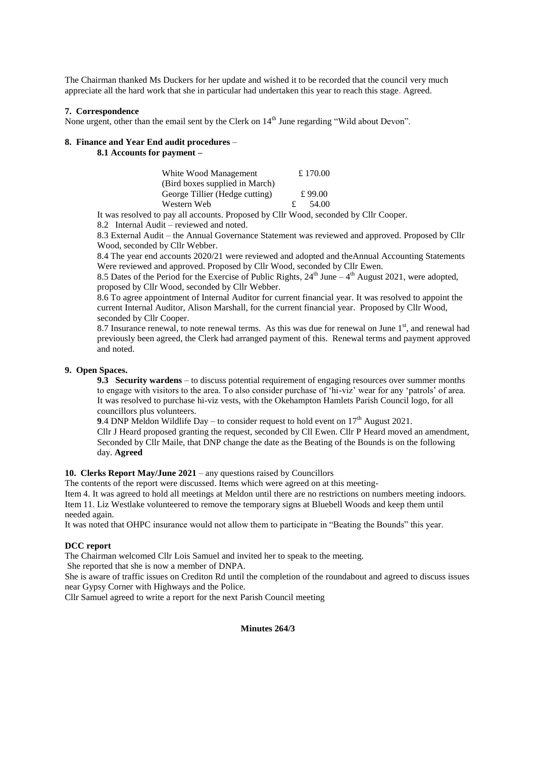The Chairman thanked Ms Duckers for her update and wished it to be recorded that the council very much appreciate all the hard work that she in particular had undertaken this year to reach this stage. Agreed.

#### **7. Correspondence**

None urgent, other than the email sent by the Clerk on 14<sup>th</sup> June regarding "Wild about Devon".

#### **8. Finance and Year End audit procedures** –

**8.1 Accounts for payment –**

| White Wood Management          | £ 170.00 |
|--------------------------------|----------|
| (Bird boxes supplied in March) |          |
| George Tillier (Hedge cutting) | £ 99.00  |
| Western Web                    | 54.00    |

It was resolved to pay all accounts. Proposed by Cllr Wood, seconded by Cllr Cooper.

8.2 Internal Audit – reviewed and noted.

8.3 External Audit – the Annual Governance Statement was reviewed and approved. Proposed by Cllr Wood, seconded by Cllr Webber.

8.4 The year end accounts 2020/21 were reviewed and adopted and theAnnual Accounting Statements Were reviewed and approved. Proposed by Cllr Wood, seconded by Cllr Ewen.

8.5 Dates of the Period for the Exercise of Public Rights,  $24<sup>th</sup>$  June  $-4<sup>th</sup>$  August 2021, were adopted, proposed by Cllr Wood, seconded by Cllr Webber.

8.6 To agree appointment of Internal Auditor for current financial year. It was resolved to appoint the current Internal Auditor, Alison Marshall, for the current financial year. Proposed by Cllr Wood, seconded by Cllr Cooper.

8.7 Insurance renewal, to note renewal terms. As this was due for renewal on June 1<sup>st</sup>, and renewal had previously been agreed, the Clerk had arranged payment of this. Renewal terms and payment approved and noted.

## **9. Open Spaces.**

**9.3 Security wardens** – to discuss potential requirement of engaging resources over summer months to engage with visitors to the area. To also consider purchase of 'hi-viz' wear for any 'patrols' of area. It was resolved to purchase hi-viz vests, with the Okehampton Hamlets Parish Council logo, for all councillors plus volunteers.

**9.4 DNP Meldon Wildlife Day – to consider request to hold event on**  $17<sup>th</sup>$  **August 2021.** 

Cllr J Heard proposed granting the request, seconded by Cll Ewen. Cllr P Heard moved an amendment, Seconded by Cllr Maile, that DNP change the date as the Beating of the Bounds is on the following day. **Agreed**

## **10. Clerks Report May/June 2021** – any questions raised by Councillors

The contents of the report were discussed. Items which were agreed on at this meeting-

Item 4. It was agreed to hold all meetings at Meldon until there are no restrictions on numbers meeting indoors. Item 11. Liz Westlake volunteered to remove the temporary signs at Bluebell Woods and keep them until needed again.

It was noted that OHPC insurance would not allow them to participate in "Beating the Bounds" this year.

#### **DCC report**

The Chairman welcomed Cllr Lois Samuel and invited her to speak to the meeting.

She reported that she is now a member of DNPA.

She is aware of traffic issues on Crediton Rd until the completion of the roundabout and agreed to discuss issues near Gypsy Corner with Highways and the Police.

Cllr Samuel agreed to write a report for the next Parish Council meeting

#### **Minutes 264/3**